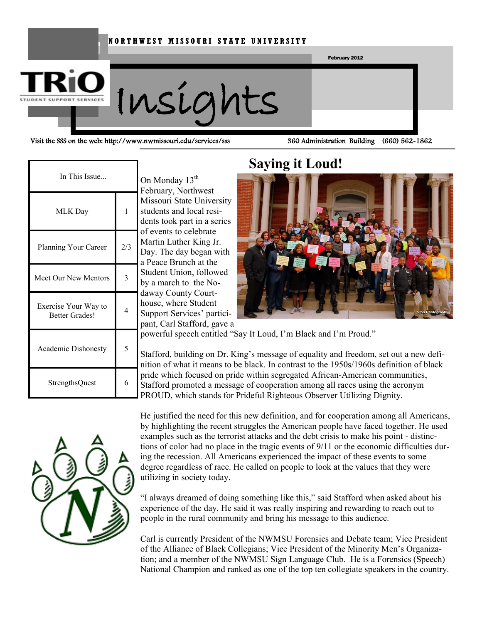

Visit the SSS on the web: http://www.nwmissouri.edu/services/sss 360 Administration Building (660) 562-1862

| In This Issue                                 |     |
|-----------------------------------------------|-----|
| MLK Day                                       | 1   |
| Planning Your Career                          | 2/3 |
| Meet Our New Mentors                          | 3   |
| Exercise Your Way to<br><b>Better Grades!</b> | 4   |
| Academic Dishonesty                           | 5   |
| StrengthsQuest                                | 6   |

On Monday 13<sup>th</sup> February, Northwest Missouri State University students and local residents took part in a series of events to celebrate Martin Luther King Jr. Day. The day began with a Peace Brunch at the Student Union, followed by a march to the Nodaway County Courthouse, where Student Support Services' participant, Carl Stafford, gave a

## **Saying it Loud!**



powerful speech entitled "Say It Loud, I'm Black and I'm Proud."

Stafford, building on Dr. King's message of equality and freedom, set out a new definition of what it means to be black. In contrast to the 1950s/1960s definition of black pride which focused on pride within segregated African-American communities, Stafford promoted a message of cooperation among all races using the acronym PROUD, which stands for Prideful Righteous Observer Utilizing Dignity.



He justified the need for this new definition, and for cooperation among all Americans, by highlighting the recent struggles the American people have faced together. He used examples such as the terrorist attacks and the debt crisis to make his point - distinctions of color had no place in the tragic events of 9/11 or the economic difficulties during the recession. All Americans experienced the impact of these events to some degree regardless of race. He called on people to look at the values that they were utilizing in society today.

"I always dreamed of doing something like this," said Stafford when asked about his experience of the day. He said it was really inspiring and rewarding to reach out to people in the rural community and bring his message to this audience.

Carl is currently President of the NWMSU Forensics and Debate team; Vice President of the Alliance of Black Collegians; Vice President of the Minority Men's Organization; and a member of the NWMSU Sign Language Club. He is a Forensics (Speech) National Champion and ranked as one of the top ten collegiate speakers in the country.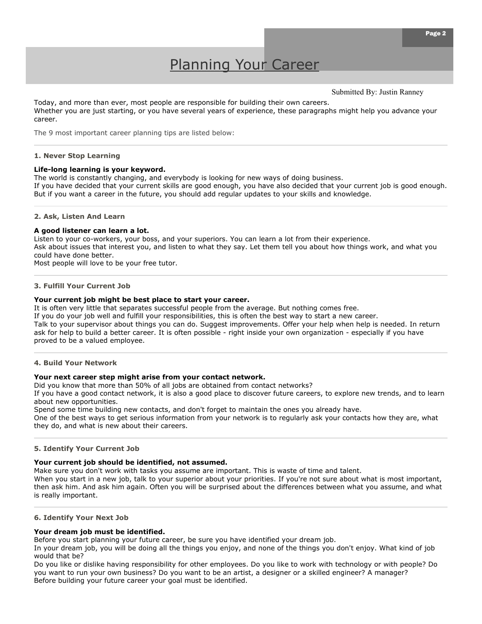# Planning Your Career

Submitted By: Justin Ranney

Today, and more than ever, most people are responsible for building their own careers. Whether you are just starting, or you have several years of experience, these paragraphs might help you advance your career.

The 9 most important career planning tips are listed below:

#### **1. Never Stop Learning**

#### **Life-long learning is your keyword.**

The world is constantly changing, and everybody is looking for new ways of doing business. If you have decided that your current skills are good enough, you have also decided that your current job is good enough. But if you want a career in the future, you should add regular updates to your skills and knowledge.

#### **2. Ask, Listen And Learn**

#### **A good listener can learn a lot.**

Listen to your co-workers, your boss, and your superiors. You can learn a lot from their experience. Ask about issues that interest you, and listen to what they say. Let them tell you about how things work, and what you could have done better.

Most people will love to be your free tutor.

#### **3. Fulfill Your Current Job**

#### **Your current job might be best place to start your career.**

It is often very little that separates successful people from the average. But nothing comes free.

If you do your job well and fulfill your responsibilities, this is often the best way to start a new career.

Talk to your supervisor about things you can do. Suggest improvements. Offer your help when help is needed. In return ask for help to build a better career. It is often possible - right inside your own organization - especially if you have proved to be a valued employee.

#### **4. Build Your Network**

#### **Your next career step might arise from your contact network.**

Did you know that more than 50% of all jobs are obtained from contact networks?

If you have a good contact network, it is also a good place to discover future careers, to explore new trends, and to learn about new opportunities.

Spend some time building new contacts, and don't forget to maintain the ones you already have. One of the best ways to get serious information from your network is to regularly ask your contacts how they are, what they do, and what is new about their careers.

#### **5. Identify Your Current Job**

#### **Your current job should be identified, not assumed.**

Make sure you don't work with tasks you assume are important. This is waste of time and talent.

When you start in a new job, talk to your superior about your priorities. If you're not sure about what is most important, then ask him. And ask him again. Often you will be surprised about the differences between what you assume, and what is really important.

#### **6. Identify Your Next Job**

### **Your dream job must be identified.**

Before you start planning your future career, be sure you have identified your dream job.

In your dream job, you will be doing all the things you enjoy, and none of the things you don't enjoy. What kind of job would that be?

Do you like or dislike having responsibility for other employees. Do you like to work with technology or with people? Do you want to run your own business? Do you want to be an artist, a designer or a skilled engineer? A manager? Before building your future career your goal must be identified.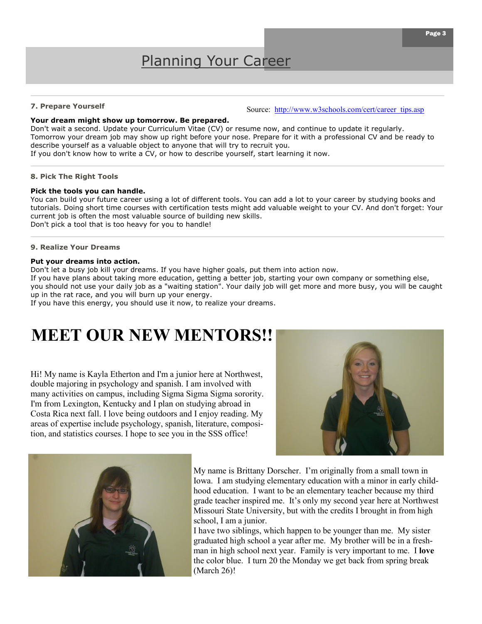#### **7. Prepare Yourself**

Source: [http://www.w3schools.com/cert/career\\_tips.asp](https://by2prd0310.outlook.com/owa/redir.aspx?C=I5b_IcJcY06FODOEZ-Q_ZITkpKf_yc4I6PNu763Zkol5ehmFTFiTITru-jvyQtsq_jWcZUISwJA.&URL=http%3a%2f%2fwww.w3schools.com%2fcert%2fcareer_tips.asp)

#### **Your dream might show up tomorrow. Be prepared.**

Don't wait a second. Update your Curriculum Vitae (CV) or resume now, and continue to update it regularly. Tomorrow your dream job may show up right before your nose. Prepare for it with a professional CV and be ready to describe yourself as a valuable object to anyone that will try to recruit you.

If you don't know how to write a CV, or how to describe yourself, start learning it now.

#### **8. Pick The Right Tools**

#### **Pick the tools you can handle.**

You can build your future career using a lot of different tools. You can add a lot to your career by studying books and tutorials. Doing short time courses with certification tests might add valuable weight to your CV. And don't forget: Your current job is often the most valuable source of building new skills. Don't pick a tool that is too heavy for you to handle!

#### **9. Realize Your Dreams**

#### **Put your dreams into action.**

Don't let a busy job kill your dreams. If you have higher goals, put them into action now.

If you have plans about taking more education, getting a better job, starting your own company or something else, you should not use your daily job as a "waiting station". Your daily job will get more and more busy, you will be caught up in the rat race, and you will burn up your energy.

If you have this energy, you should use it now, to realize your dreams.

# **MEET OUR NEW MENTORS!!**

Hi! My name is Kayla Etherton and I'm a junior here at Northwest, double majoring in psychology and spanish. I am involved with many activities on campus, including Sigma Sigma Sigma sorority. I'm from Lexington, Kentucky and I plan on studying abroad in Costa Rica next fall. I love being outdoors and I enjoy reading. My areas of expertise include psychology, spanish, literature, composition, and statistics courses. I hope to see you in the SSS office!





My name is Brittany Dorscher. I'm originally from a small town in Iowa. I am studying elementary education with a minor in early childhood education. I want to be an elementary teacher because my third grade teacher inspired me. It's only my second year here at Northwest Missouri State University, but with the credits I brought in from high school, I am a junior.

I have two siblings, which happen to be younger than me. My sister graduated high school a year after me. My brother will be in a freshman in high school next year. Family is very important to me. I **love** the color blue. I turn 20 the Monday we get back from spring break (March 26)!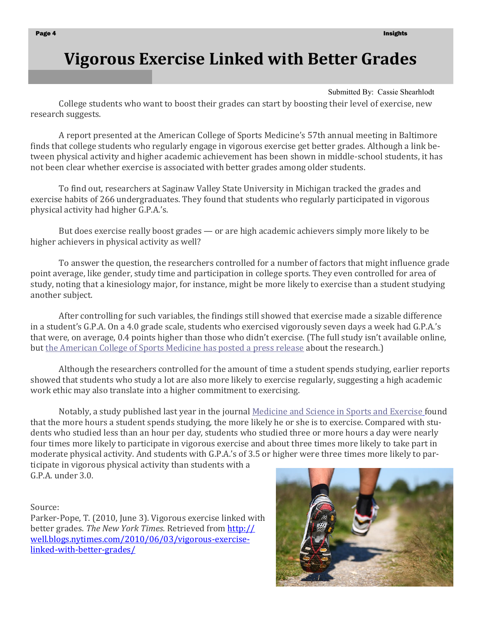# **Vigorous Exercise Linked with Better Grades**

College students who want to boost their grades can start by boosting their level of exercise, new research suggests. Submitted By: Cassie Shearhlodt

A report presented at the American College of Sports Medicine's 57th annual meeting in Baltimore finds that college students who regularly engage in vigorous exercise get better grades. Although a link between physical activity and higher academic achievement has been shown in middle-school students, it has not been clear whether exercise is associated with better grades among older students.

To find out, researchers at Saginaw Valley State University in Michigan tracked the grades and exercise habits of 266 undergraduates. They found that students who regularly participated in vigorous physical activity had higher G.P.A.'s.

But does exercise really boost grades — or are high academic achievers simply more likely to be higher achievers in physical activity as well?

To answer the question, the researchers controlled for a number of factors that might influence grade point average, like gender, study time and participation in college sports. They even controlled for area of study, noting that a kinesiology major, for instance, might be more likely to exercise than a student studying another subject.

After controlling for such variables, the findings still showed that exercise made a sizable difference in a student's G.P.A. On a 4.0 grade scale, students who exercised vigorously seven days a week had G.P.A.'s that were, on average, 0.4 points higher than those who didn't exercise. (The full study isn't available online, but [the American College of Sports Medicine has posted a press release](http://www.acsm.org/AM/Template.cfm?Section=About_ACSM&CONTENTID=14753&TEMPLATE=/CM/HTMLDisplay.cfm) about the research.)

Although the researchers controlled for the amount of time a student spends studying, earlier reports showed that students who study a lot are also more likely to exercise regularly, suggesting a high academic work ethic may also translate into a higher commitment to exercising.

Notably, a study published last year in the journal [Medicine and Science in Sports and Exercise](http://journals.lww.com/acsm-msse/Fulltext/2009/05001/The_Association_Between_Study_Time,_Grade_Point.2490.aspx) found that the more hours a student spends studying, the more likely he or she is to exercise. Compared with students who studied less than an hour per day, students who studied three or more hours a day were nearly four times more likely to participate in vigorous exercise and about three times more likely to take part in moderate physical activity. And students with G.P.A.'s of 3.5 or higher were three times more likely to participate in vigorous physical activity than students with a G.P.A. under 3.0.

Source:

Parker-Pope, T. (2010, June 3). Vigorous exercise linked with better grades. *The New York Times*. Retrieved from [http://](http://well.blogs.nytimes.com/2010/06/03/vigorous-exercise-linked-with-better-grades/) [well.blogs.nytimes.com/2010/06/03/vigorous-exercise](http://well.blogs.nytimes.com/2010/06/03/vigorous-exercise-linked-with-better-grades/)[linked-with-better-grades/](http://well.blogs.nytimes.com/2010/06/03/vigorous-exercise-linked-with-better-grades/)

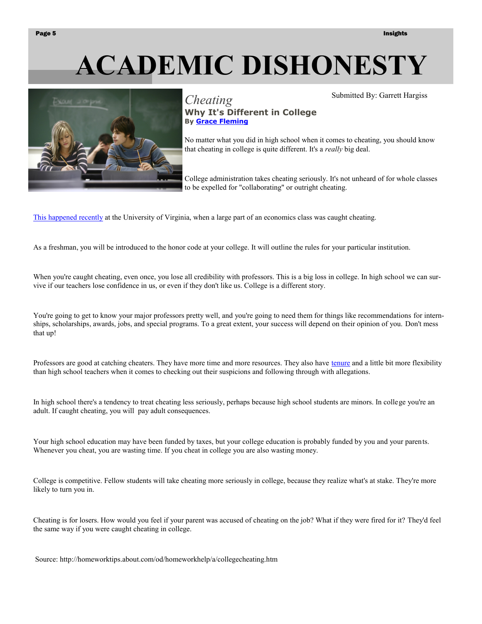**ACADEMIC DISHONESTY**



### *Cheating* **Why It's Different in College By [Grace Fleming](http://homeworktips.about.com/bio/Grace-Fleming-17634.htm)**

Submitted By: Garrett Hargiss

No matter what you did in high school when it comes to cheating, you should know that cheating in college is quite different. It's a *really* big deal.

College administration takes cheating seriously. It's not unheard of for whole classes to be expelled for "collaborating" or outright cheating.

[This happened recently](http://www.insidehighered.com/news/2005/06/30/uva) at the University of Virginia, when a large part of an economics class was caught cheating.

As a freshman, you will be introduced to the honor code at your college. It will outline the rules for your particular institution.

When you're caught cheating, even once, you lose all credibility with professors. This is a big loss in college. In high school we can survive if our teachers lose confidence in us, or even if they don't like us. College is a different story.

You're going to get to know your major professors pretty well, and you're going to need them for things like recommendations for internships, scholarships, awards, jobs, and special programs. To a great extent, your success will depend on their opinion of you. Don't mess that up!

Professors are good at catching cheaters. They have more time and more resources. They also have [tenure](http://homeworktips.about.com/od/satwords/g/tenure.htm) and a little bit more flexibility than high school teachers when it comes to checking out their suspicions and following through with allegations.

In high school there's a tendency to treat cheating less seriously, perhaps because high school students are minors. In college you're an adult. If caught cheating, you will pay adult consequences.

Your high school education may have been funded by taxes, but your college education is probably funded by you and your parents. Whenever you cheat, you are wasting time. If you cheat in college you are also wasting money.

College is competitive. Fellow students will take cheating more seriously in college, because they realize what's at stake. They're more likely to turn you in.

Cheating is for losers. How would you feel if your parent was accused of cheating on the job? What if they were fired for it? They'd feel the same way if you were caught cheating in college.

Source: http://homeworktips.about.com/od/homeworkhelp/a/collegecheating.htm